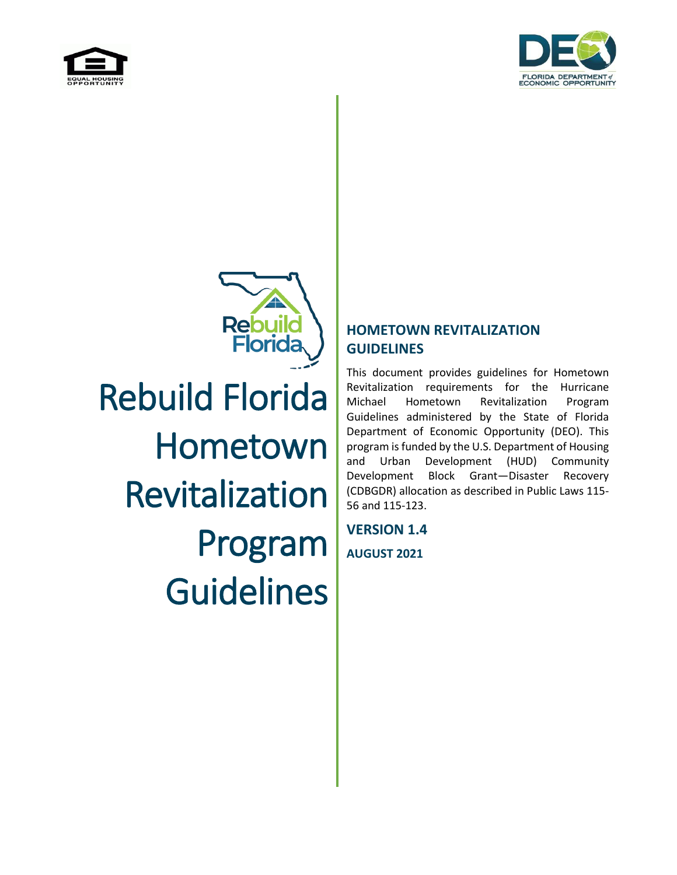



Rebuil Rebuild Florida Hometown Revitalization Program **Guidelines** 

#### **HOMETOWN REVITALIZATION GUIDELINES**

This document provides guidelines for Hometown Revitalization requirements for the Hurricane Michael Hometown Revitalization Program Guidelines administered by the State of Florida Department of Economic Opportunity (DEO). This program is funded by the U.S. Department of Housing and Urban Development (HUD) Community Development Block Grant—Disaster Recovery (CDBGDR) allocation as described in Public Laws 115- 56 and 115-123.

**VERSION 1.4 AUGUST 2021**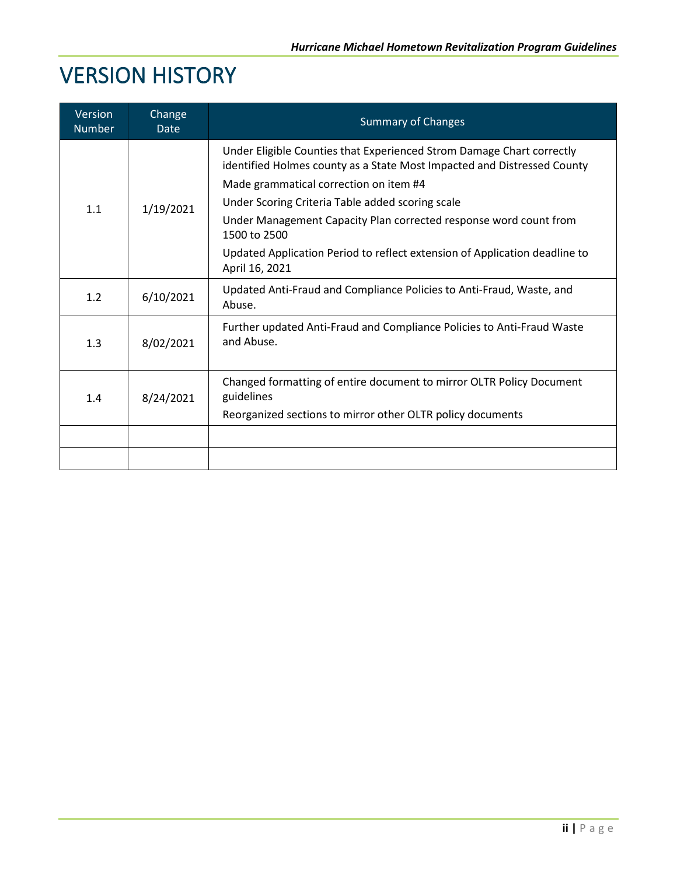## VERSION HISTORY

| Version<br><b>Number</b> | Change<br><b>Date</b> | <b>Summary of Changes</b>                                                                                                                                                                                                                                                                                                                                                                                         |  |
|--------------------------|-----------------------|-------------------------------------------------------------------------------------------------------------------------------------------------------------------------------------------------------------------------------------------------------------------------------------------------------------------------------------------------------------------------------------------------------------------|--|
| 1.1                      | 1/19/2021             | Under Eligible Counties that Experienced Strom Damage Chart correctly<br>identified Holmes county as a State Most Impacted and Distressed County<br>Made grammatical correction on item #4<br>Under Scoring Criteria Table added scoring scale<br>Under Management Capacity Plan corrected response word count from<br>1500 to 2500<br>Updated Application Period to reflect extension of Application deadline to |  |
|                          |                       | April 16, 2021                                                                                                                                                                                                                                                                                                                                                                                                    |  |
| 1.2                      | 6/10/2021             | Updated Anti-Fraud and Compliance Policies to Anti-Fraud, Waste, and<br>Abuse.                                                                                                                                                                                                                                                                                                                                    |  |
| 1.3                      | 8/02/2021             | Further updated Anti-Fraud and Compliance Policies to Anti-Fraud Waste<br>and Abuse.                                                                                                                                                                                                                                                                                                                              |  |
| 1.4                      | 8/24/2021             | Changed formatting of entire document to mirror OLTR Policy Document<br>guidelines<br>Reorganized sections to mirror other OLTR policy documents                                                                                                                                                                                                                                                                  |  |
|                          |                       |                                                                                                                                                                                                                                                                                                                                                                                                                   |  |
|                          |                       |                                                                                                                                                                                                                                                                                                                                                                                                                   |  |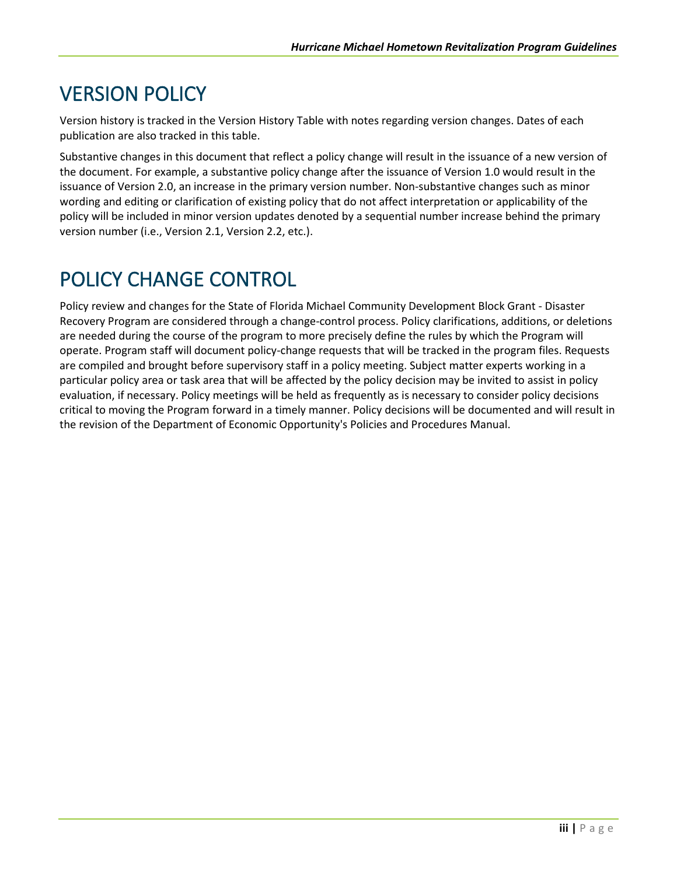### VERSION POLICY

Version history is tracked in the Version History Table with notes regarding version changes. Dates of each publication are also tracked in this table.

Substantive changes in this document that reflect a policy change will result in the issuance of a new version of the document. For example, a substantive policy change after the issuance of Version 1.0 would result in the issuance of Version 2.0, an increase in the primary version number. Non-substantive changes such as minor wording and editing or clarification of existing policy that do not affect interpretation or applicability of the policy will be included in minor version updates denoted by a sequential number increase behind the primary version number (i.e., Version 2.1, Version 2.2, etc.).

#### POLICY CHANGE CONTROL

Policy review and changes for the State of Florida Michael Community Development Block Grant - Disaster Recovery Program are considered through a change-control process. Policy clarifications, additions, or deletions are needed during the course of the program to more precisely define the rules by which the Program will operate. Program staff will document policy-change requests that will be tracked in the program files. Requests are compiled and brought before supervisory staff in a policy meeting. Subject matter experts working in a particular policy area or task area that will be affected by the policy decision may be invited to assist in policy evaluation, if necessary. Policy meetings will be held as frequently as is necessary to consider policy decisions critical to moving the Program forward in a timely manner. Policy decisions will be documented and will result in the revision of the Department of Economic Opportunity's Policies and Procedures Manual.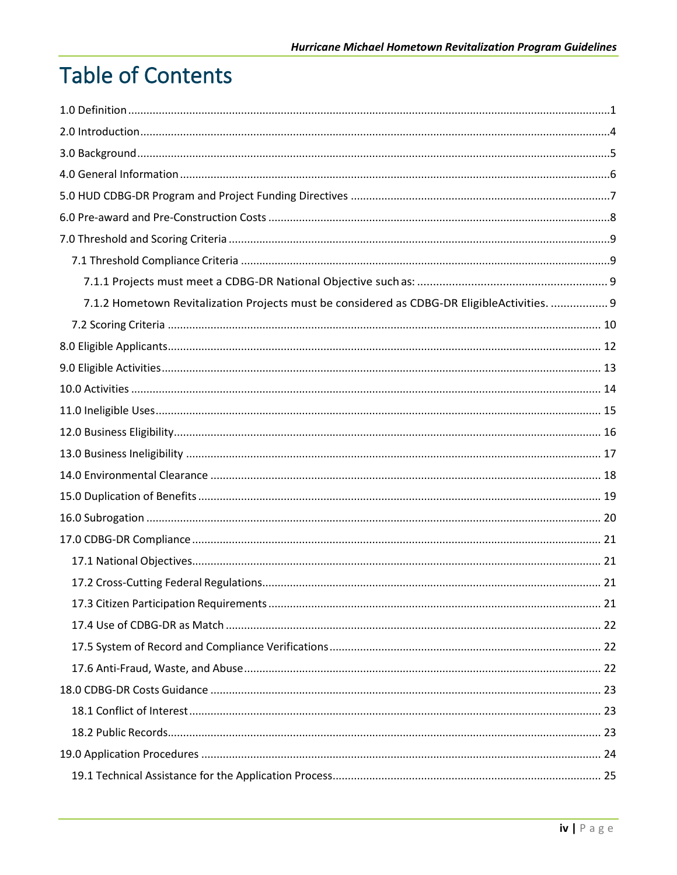# **Table of Contents**

| 7.1.2 Hometown Revitalization Projects must be considered as CDBG-DR EligibleActivities.  9 |  |
|---------------------------------------------------------------------------------------------|--|
|                                                                                             |  |
|                                                                                             |  |
|                                                                                             |  |
|                                                                                             |  |
|                                                                                             |  |
|                                                                                             |  |
|                                                                                             |  |
|                                                                                             |  |
|                                                                                             |  |
|                                                                                             |  |
|                                                                                             |  |
|                                                                                             |  |
|                                                                                             |  |
|                                                                                             |  |
|                                                                                             |  |
|                                                                                             |  |
|                                                                                             |  |
|                                                                                             |  |
|                                                                                             |  |
|                                                                                             |  |
|                                                                                             |  |
|                                                                                             |  |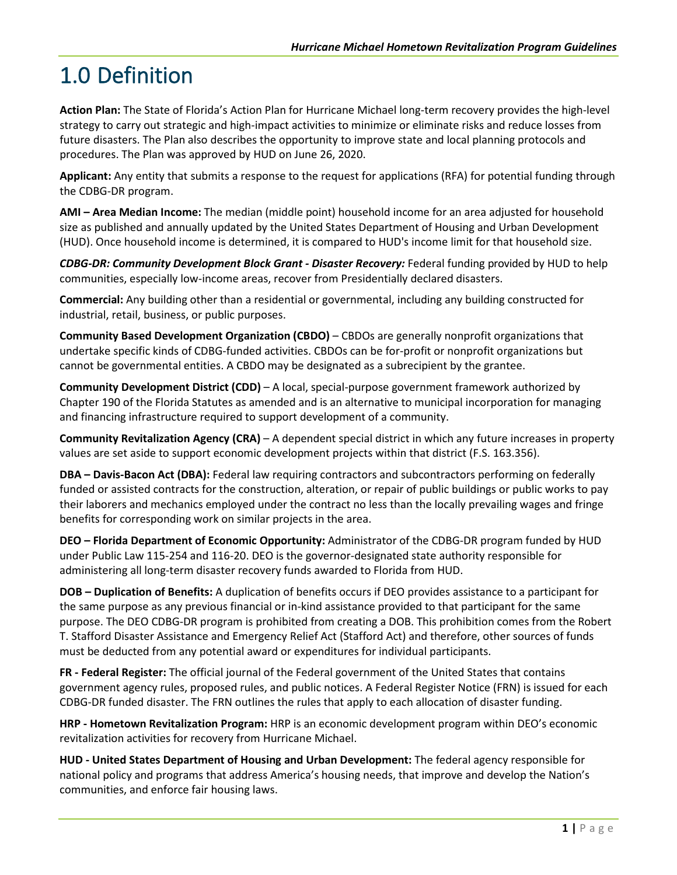# <span id="page-4-0"></span>1.0 Definition

**Action Plan:** The State of Florida's Action Plan for Hurricane Michael long-term recovery provides the high-level strategy to carry out strategic and high-impact activities to minimize or eliminate risks and reduce losses from future disasters. The Plan also describes the opportunity to improve state and local planning protocols and procedures. The Plan was approved by HUD on June 26, 2020.

**Applicant:** Any entity that submits a response to the request for applications (RFA) for potential funding through the CDBG-DR program.

**AMI – Area Median Income:** The median (middle point) household income for an area adjusted for household size as published and annually updated by the United States Department of Housing and Urban Development (HUD). Once household income is determined, it is compared to HUD's income limit for that household size.

*CDBG-DR: Community Development Block Grant - Disaster Recovery:* Federal funding provided by HUD to help communities, especially low-income areas, recover from Presidentially declared disasters.

**Commercial:** Any building other than a residential or governmental, including any building constructed for industrial, retail, business, or public purposes.

**Community Based Development Organization (CBDO)** – CBDOs are generally nonprofit organizations that undertake specific kinds of CDBG-funded activities. CBDOs can be for-profit or nonprofit organizations but cannot be governmental entities. A CBDO may be designated as a subrecipient by the grantee.

**Community Development District (CDD)** – A local, special-purpose government framework authorized by Chapter 190 of the Florida Statutes as amended and is an alternative to municipal incorporation for managing and financing infrastructure required to support development of a community.

**Community Revitalization Agency (CRA)** – A dependent special district in which any future increases in property values are set aside to support economic development projects within that district (F.S. 163.356).

**DBA – Davis-Bacon Act (DBA):** Federal law requiring contractors and subcontractors performing on federally funded or assisted contracts for the construction, alteration, or repair of public buildings or public works to pay their laborers and mechanics employed under the contract no less than the locally prevailing wages and fringe benefits for corresponding work on similar projects in the area.

**DEO – Florida Department of Economic Opportunity:** Administrator of the CDBG-DR program funded by HUD under Public Law 115-254 and 116-20. DEO is the governor-designated state authority responsible for administering all long-term disaster recovery funds awarded to Florida from HUD.

**DOB – Duplication of Benefits:** A duplication of benefits occurs if DEO provides assistance to a participant for the same purpose as any previous financial or in-kind assistance provided to that participant for the same purpose. The DEO CDBG-DR program is prohibited from creating a DOB. This prohibition comes from the Robert T. Stafford Disaster Assistance and Emergency Relief Act (Stafford Act) and therefore, other sources of funds must be deducted from any potential award or expenditures for individual participants.

**FR - Federal Register:** The official journal of the Federal government of the United States that contains government agency rules, proposed rules, and public notices. A Federal Register Notice (FRN) is issued for each CDBG-DR funded disaster. The FRN outlines the rules that apply to each allocation of disaster funding.

**HRP - Hometown Revitalization Program:** HRP is an economic development program within DEO's economic revitalization activities for recovery from Hurricane Michael.

**HUD - United States Department of Housing and Urban Development:** The federal agency responsible for national policy and programs that address America's housing needs, that improve and develop the Nation's communities, and enforce fair housing laws.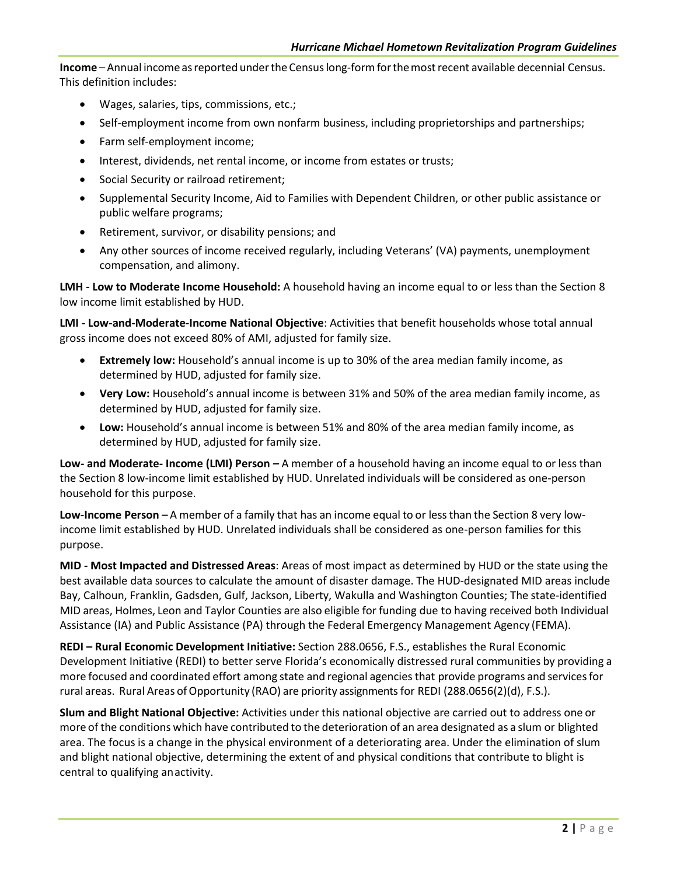Income – Annual income as reported under the Census long-form for the most recent available decennial Census. This definition includes:

- Wages, salaries, tips, commissions, etc.;
- Self-employment income from own nonfarm business, including proprietorships and partnerships;
- Farm self-employment income;
- Interest, dividends, net rental income, or income from estates or trusts;
- Social Security or railroad retirement;
- Supplemental Security Income, Aid to Families with Dependent Children, or other public assistance or public welfare programs;
- Retirement, survivor, or disability pensions; and
- Any other sources of income received regularly, including Veterans' (VA) payments, unemployment compensation, and alimony.

**LMH - Low to Moderate Income Household:** A household having an income equal to or less than the Section 8 low income limit established by HUD.

**LMI - Low-and-Moderate-Income National Objective**: Activities that benefit households whose total annual gross income does not exceed 80% of AMI, adjusted for family size.

- **Extremely low:** Household's annual income is up to 30% of the area median family income, as determined by HUD, adjusted for family size.
- **Very Low:** Household's annual income is between 31% and 50% of the area median family income, as determined by HUD, adjusted for family size.
- **Low:** Household's annual income is between 51% and 80% of the area median family income, as determined by HUD, adjusted for family size.

**Low- and Moderate- Income (LMI) Person** *–* A member of a household having an income equal to or less than the Section 8 low-income limit established by HUD. Unrelated individuals will be considered as one-person household for this purpose.

**Low-Income Person** – A member of a family that has an income equal to or lessthan the Section 8 very lowincome limit established by HUD. Unrelated individuals shall be considered as one-person families for this purpose.

**MID - Most Impacted and Distressed Areas**: Areas of most impact as determined by HUD or the state using the best available data sources to calculate the amount of disaster damage. The HUD-designated MID areas include Bay, Calhoun, Franklin, Gadsden, Gulf, Jackson, Liberty, Wakulla and Washington Counties; The state-identified MID areas, Holmes, Leon and Taylor Counties are also eligible for funding due to having received both Individual Assistance (IA) and Public Assistance (PA) through the Federal Emergency Management Agency (FEMA).

**REDI – Rural Economic Development Initiative:** Section 288.0656, F.S., establishes the Rural Economic Development Initiative (REDI) to better serve Florida's economically distressed rural communities by providing a more focused and coordinated effort among state and regional agenciesthat provide programs and servicesfor rural areas. Rural Areas ofOpportunity (RAO) are priority assignments for REDI (288.0656(2)(d), F.S.).

**Slum and Blight National Objective:** Activities under this national objective are carried out to address one or more of the conditions which have contributed to the deterioration of an area designated as a slum or blighted area. The focus is a change in the physical environment of a deteriorating area. Under the elimination of slum and blight national objective, determining the extent of and physical conditions that contribute to blight is central to qualifying anactivity.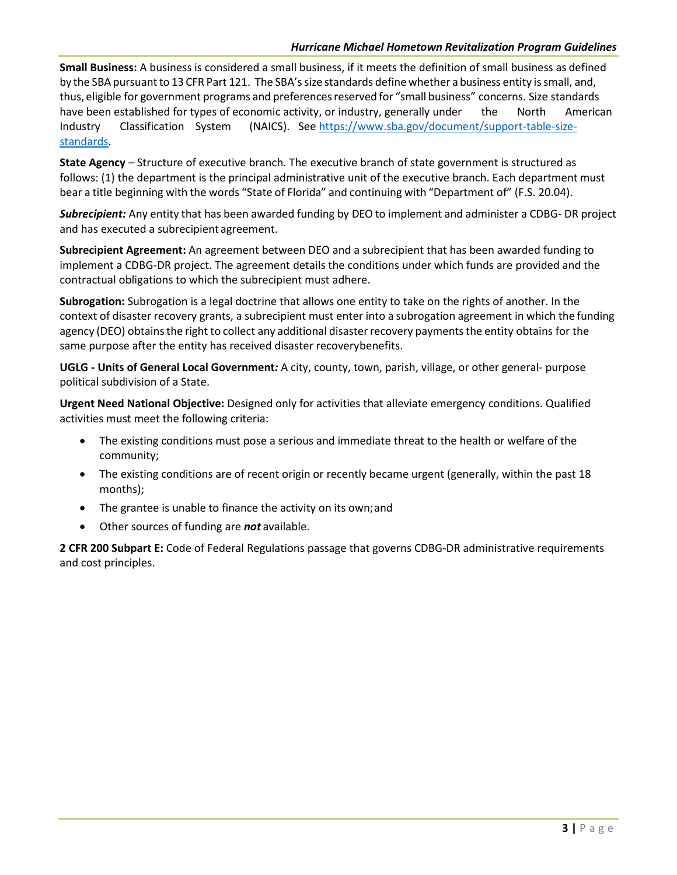**Small Business:** A business is considered a small business, if it meets the definition of small business as defined by the SBA pursuant to 13 CFR Part 121. The SBA's size standards define whether a business entity is small, and, thus, eligible for government programs and preferences reserved for "small business" concerns. Size standards have been established for types of economic activity, or industry, generally under the North American Industry Classification System (NAICS). Se[e https://www.sba.gov/document/support-table-size](https://www.sba.gov/document/support-table-size-standards)[standards.](https://www.sba.gov/document/support-table-size-standards)

**State Agency** *–* Structure of executive branch. The executive branch of state government is structured as follows: (1) the department is the principal administrative unit of the executive branch. Each department must bear a title beginning with the words "State of Florida" and continuing with "Department of" (F.S. 20.04).

*Subrecipient:* Any entity that has been awarded funding by DEO to implement and administer a CDBG- DR project and has executed a subrecipient agreement.

**Subrecipient Agreement:** An agreement between DEO and a subrecipient that has been awarded funding to implement a CDBG-DR project. The agreement details the conditions under which funds are provided and the contractual obligations to which the subrecipient must adhere.

**Subrogation:** Subrogation is a legal doctrine that allows one entity to take on the rights of another. In the context of disaster recovery grants, a subrecipient must enter into a subrogation agreement in which the funding agency (DEO) obtains the right to collect any additional disaster recovery payments the entity obtains for the same purpose after the entity has received disaster recoverybenefits.

**UGLG - Units of General Local Government***:* A city, county, town, parish, village, or other general- purpose political subdivision of a State.

**Urgent Need National Objective:** Designed only for activities that alleviate emergency conditions. Qualified activities must meet the following criteria:

- The existing conditions must pose a serious and immediate threat to the health or welfare of the community;
- The existing conditions are of recent origin or recently became urgent (generally, within the past 18 months);
- The grantee is unable to finance the activity on its own;and
- Other sources of funding are *not* available.

**2 CFR 200 Subpart E:** Code of Federal Regulations passage that governs CDBG-DR administrative requirements and cost principles.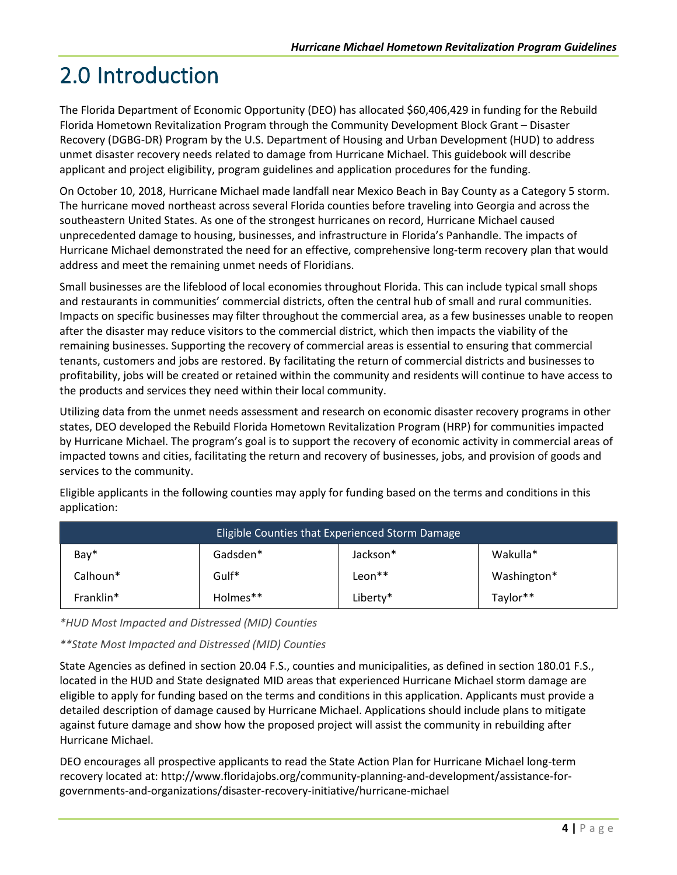# <span id="page-7-0"></span>2.0 Introduction

The Florida Department of Economic Opportunity (DEO) has allocated \$60,406,429 in funding for the Rebuild Florida Hometown Revitalization Program through the Community Development Block Grant – Disaster Recovery (DGBG-DR) Program by the U.S. Department of Housing and Urban Development (HUD) to address unmet disaster recovery needs related to damage from Hurricane Michael. This guidebook will describe applicant and project eligibility, program guidelines and application procedures for the funding.

On October 10, 2018, Hurricane Michael made landfall near Mexico Beach in Bay County as a Category 5 storm. The hurricane moved northeast across several Florida counties before traveling into Georgia and across the southeastern United States. As one of the strongest hurricanes on record, Hurricane Michael caused unprecedented damage to housing, businesses, and infrastructure in Florida's Panhandle. The impacts of Hurricane Michael demonstrated the need for an effective, comprehensive long-term recovery plan that would address and meet the remaining unmet needs of Floridians.

Small businesses are the lifeblood of local economies throughout Florida. This can include typical small shops and restaurants in communities' commercial districts, often the central hub of small and rural communities. Impacts on specific businesses may filter throughout the commercial area, as a few businesses unable to reopen after the disaster may reduce visitors to the commercial district, which then impacts the viability of the remaining businesses. Supporting the recovery of commercial areas is essential to ensuring that commercial tenants, customers and jobs are restored. By facilitating the return of commercial districts and businesses to profitability, jobs will be created or retained within the community and residents will continue to have access to the products and services they need within their local community.

Utilizing data from the unmet needs assessment and research on economic disaster recovery programs in other states, DEO developed the Rebuild Florida Hometown Revitalization Program (HRP) for communities impacted by Hurricane Michael. The program's goal is to support the recovery of economic activity in commercial areas of impacted towns and cities, facilitating the return and recovery of businesses, jobs, and provision of goods and services to the community.

| Eligible Counties that Experienced Storm Damage |          |          |             |  |  |  |
|-------------------------------------------------|----------|----------|-------------|--|--|--|
| Bay*                                            | Gadsden* | Jackson* | Wakulla*    |  |  |  |
| Calhoun*                                        | Gulf*    | Leon**   | Washington* |  |  |  |
| Franklin*                                       | Holmes** | Liberty* | Taylor**    |  |  |  |

Eligible applicants in the following counties may apply for funding based on the terms and conditions in this application:

*\*HUD Most Impacted and Distressed (MID) Counties*

*\*\*State Most Impacted and Distressed (MID) Counties*

State Agencies as defined in section 20.04 F.S., counties and municipalities, as defined in section 180.01 F.S., located in the HUD and State designated MID areas that experienced Hurricane Michael storm damage are eligible to apply for funding based on the terms and conditions in this application. Applicants must provide a detailed description of damage caused by Hurricane Michael. Applications should include plans to mitigate against future damage and show how the proposed project will assist the community in rebuilding after Hurricane Michael.

DEO encourages all prospective applicants to read the State Action Plan for Hurricane Michael long-term recovery located at[: http://www.floridajobs.org/community-planning-and-development/assistance-for](http://www.floridajobs.org/community-planning-and-development/assistance-for-governments-and-organizations/disaster-recovery-initiative/hurricane-michael)[governments-and-organizations/disaster-recovery-initiative/hurricane-michael](http://www.floridajobs.org/community-planning-and-development/assistance-for-governments-and-organizations/disaster-recovery-initiative/hurricane-michael)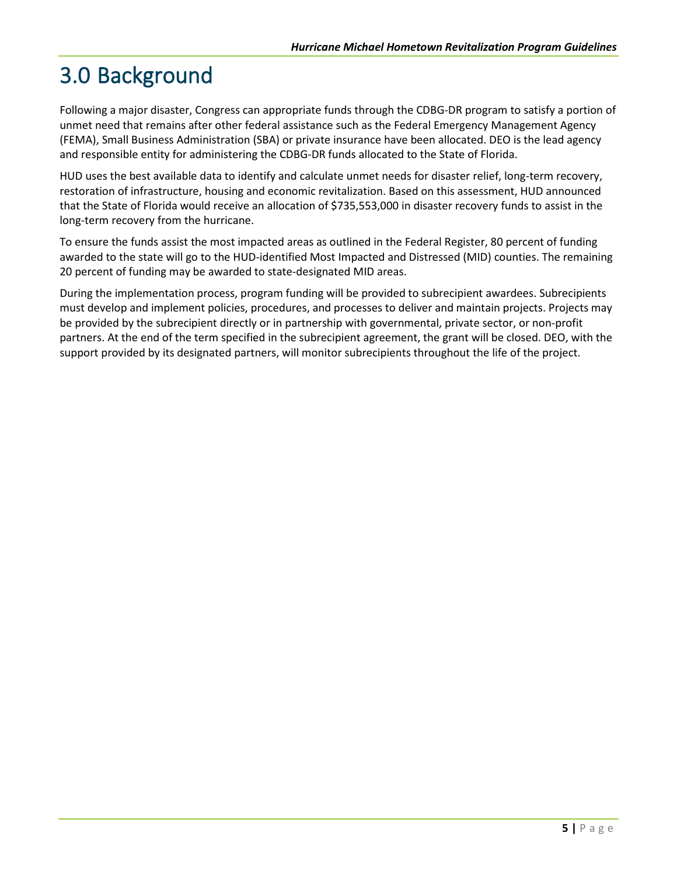# <span id="page-8-0"></span>3.0 Background

Following a major disaster, Congress can appropriate funds through the CDBG-DR program to satisfy a portion of unmet need that remains after other federal assistance such as the Federal Emergency Management Agency (FEMA), Small Business Administration (SBA) or private insurance have been allocated. DEO is the lead agency and responsible entity for administering the CDBG-DR funds allocated to the State of Florida.

HUD uses the best available data to identify and calculate unmet needs for disaster relief, long-term recovery, restoration of infrastructure, housing and economic revitalization. Based on this assessment, HUD announced that the State of Florida would receive an allocation of \$735,553,000 in disaster recovery funds to assist in the long-term recovery from the hurricane.

To ensure the funds assist the most impacted areas as outlined in the Federal Register, 80 percent of funding awarded to the state will go to the HUD-identified Most Impacted and Distressed (MID) counties. The remaining 20 percent of funding may be awarded to state-designated MID areas.

During the implementation process, program funding will be provided to subrecipient awardees. Subrecipients must develop and implement policies, procedures, and processes to deliver and maintain projects. Projects may be provided by the subrecipient directly or in partnership with governmental, private sector, or non-profit partners. At the end of the term specified in the subrecipient agreement, the grant will be closed. DEO, with the support provided by its designated partners, will monitor subrecipients throughout the life of the project.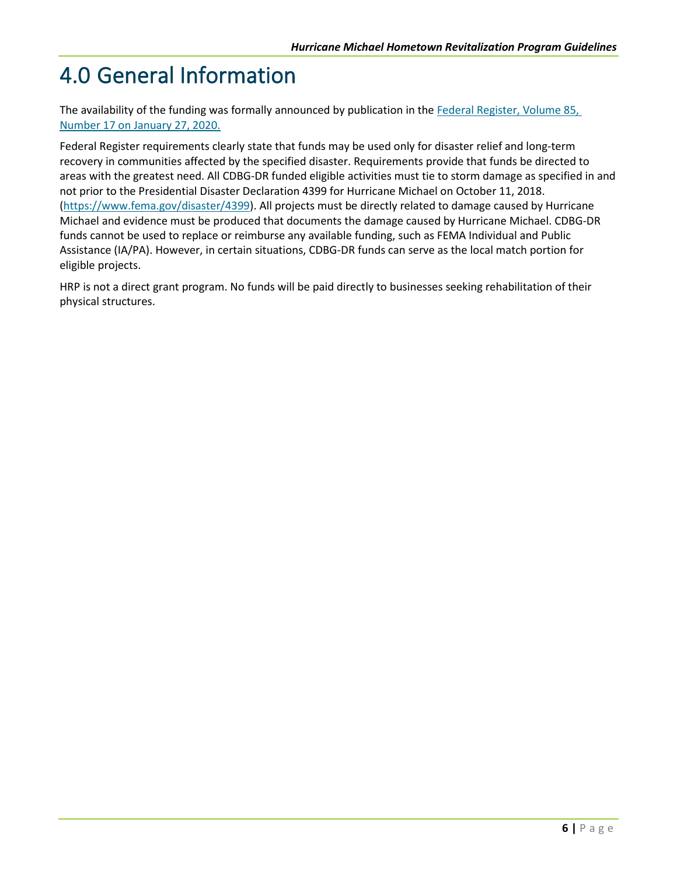# <span id="page-9-0"></span>4.0 General Information

The availability of the funding was formally announced by publication in the [Federal Register, Volume 85,](https://www.govinfo.gov/content/pkg/FR-2020-01-27/pdf/2020-01204.pdf.)  [Number 17 on January 27, 2020.](https://www.govinfo.gov/content/pkg/FR-2020-01-27/pdf/2020-01204.pdf.)

Federal Register requirements clearly state that funds may be used only for disaster relief and long-term recovery in communities affected by the specified disaster. Requirements provide that funds be directed to areas with the greatest need. All CDBG-DR funded eligible activities must tie to storm damage as specified in and not prior to the Presidential Disaster Declaration 4399 for Hurricane Michael on October 11, 2018. [\(https://www.fema.gov/disaster/4399\)](https://www.fema.gov/disaster/4399). All projects must be directly related to damage caused by Hurricane Michael and evidence must be produced that documents the damage caused by Hurricane Michael. CDBG-DR funds cannot be used to replace or reimburse any available funding, such as FEMA Individual and Public Assistance (IA/PA). However, in certain situations, CDBG-DR funds can serve as the local match portion for eligible projects.

HRP is not a direct grant program. No funds will be paid directly to businesses seeking rehabilitation of their physical structures.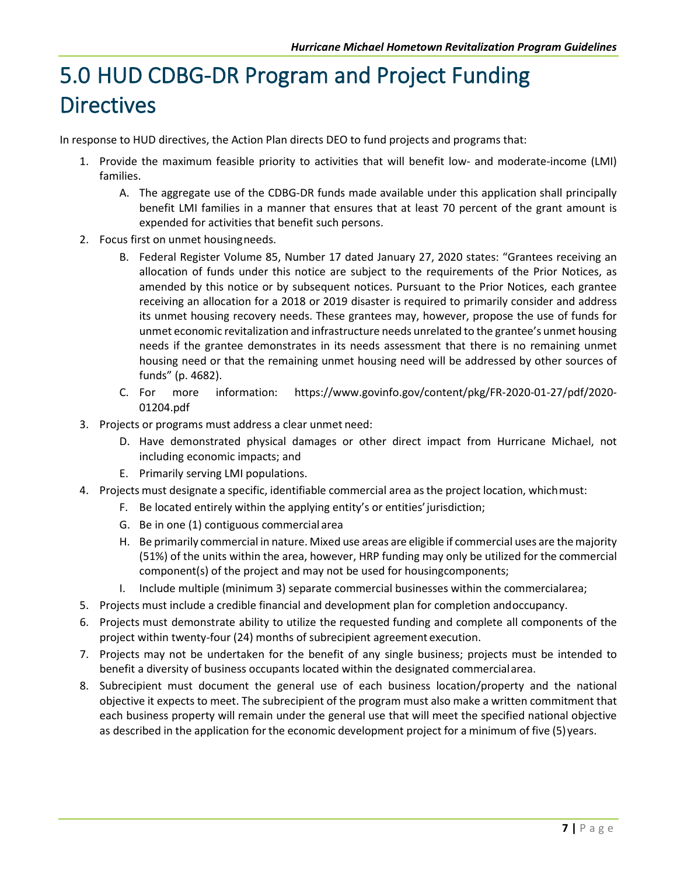# <span id="page-10-0"></span>5.0 HUD CDBG-DR Program and Project Funding **Directives**

In response to HUD directives, the Action Plan directs DEO to fund projects and programs that:

- 1. Provide the maximum feasible priority to activities that will benefit low- and moderate-income (LMI) families.
	- A. The aggregate use of the CDBG-DR funds made available under this application shall principally benefit LMI families in a manner that ensures that at least 70 percent of the grant amount is expended for activities that benefit such persons.
- 2. Focus first on unmet housingneeds.
	- B. Federal Register Volume 85, Number 17 dated January 27, 2020 states: "Grantees receiving an allocation of funds under this notice are subject to the requirements of the Prior Notices, as amended by this notice or by subsequent notices. Pursuant to the Prior Notices, each grantee receiving an allocation for a 2018 or 2019 disaster is required to primarily consider and address its unmet housing recovery needs. These grantees may, however, propose the use of funds for unmet economic revitalization and infrastructure needs unrelated to the grantee's unmet housing needs if the grantee demonstrates in its needs assessment that there is no remaining unmet housing need or that the remaining unmet housing need will be addressed by other sources of funds" (p. 4682).
	- C. For more information: [https://www.govinfo.gov/content/pkg/FR-2020-01-27/pdf/2020-](https://www.govinfo.gov/content/pkg/FR-2020-01-27/pdf/2020-01204.pdf) [01204.pdf](https://www.govinfo.gov/content/pkg/FR-2020-01-27/pdf/2020-01204.pdf)
- 3. Projects or programs must address a clear unmet need:
	- D. Have demonstrated physical damages or other direct impact from Hurricane Michael, not including economic impacts; and
	- E. Primarily serving LMI populations.
- 4. Projects must designate a specific, identifiable commercial area asthe project location, whichmust:
	- F. Be located entirely within the applying entity's or entities'jurisdiction;
	- G. Be in one (1) contiguous commercial area
	- H. Be primarily commercial in nature. Mixed use areas are eligible if commercial uses are the majority (51%) of the units within the area, however, HRP funding may only be utilized for the commercial component(s) of the project and may not be used for housingcomponents;
	- I. Include multiple (minimum 3) separate commercial businesses within the commercialarea;
- 5. Projects must include a credible financial and development plan for completion andoccupancy.
- 6. Projects must demonstrate ability to utilize the requested funding and complete all components of the project within twenty-four (24) months of subrecipient agreement execution.
- 7. Projects may not be undertaken for the benefit of any single business; projects must be intended to benefit a diversity of business occupants located within the designated commercialarea.
- 8. Subrecipient must document the general use of each business location/property and the national objective it expects to meet. The subrecipient of the program must also make a written commitment that each business property will remain under the general use that will meet the specified national objective as described in the application for the economic development project for a minimum of five (5) years.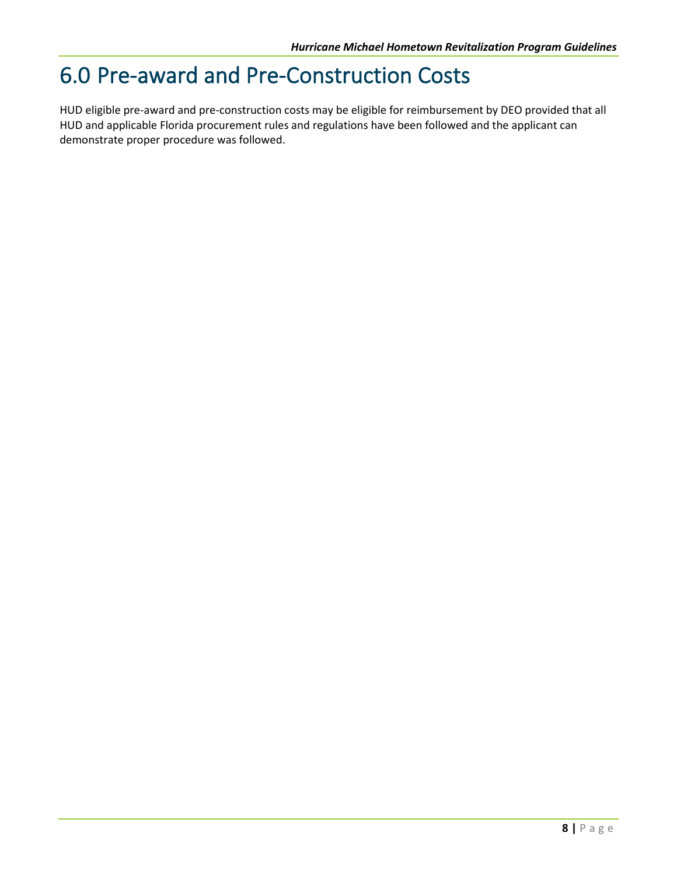### <span id="page-11-0"></span>6.0 Pre-award and Pre-Construction Costs

HUD eligible pre-award and pre-construction costs may be eligible for reimbursement by DEO provided that all HUD and applicable Florida procurement rules and regulations have been followed and the applicant can demonstrate proper procedure was followed.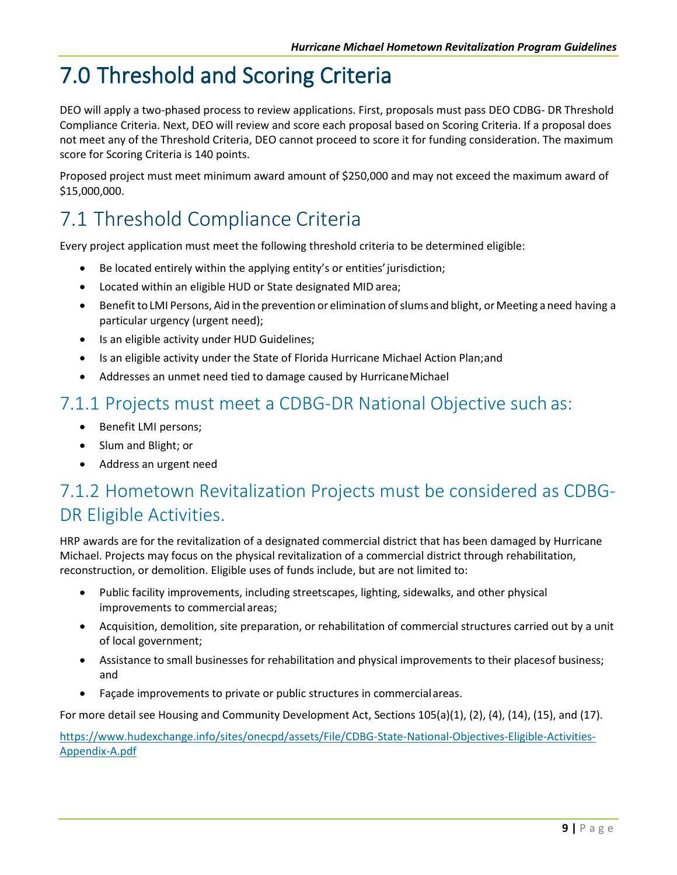# <span id="page-12-0"></span>7.0 Threshold and Scoring Criteria

DEO will apply a two-phased process to review applications. First, proposals must pass DEO CDBG- DR Threshold Compliance Criteria. Next, DEO will review and score each proposal based on Scoring Criteria. If a proposal does not meet any of the Threshold Criteria, DEO cannot proceed to score it for funding consideration. The maximum score for Scoring Criteria is 140 points.

Proposed project must meet minimum award amount of \$250,000 and may not exceed the maximum award of \$15,000,000.

#### <span id="page-12-1"></span>7.1 Threshold Compliance Criteria

Every project application must meet the following threshold criteria to be determined eligible:

- Be located entirely within the applying entity's or entities' jurisdiction;
- Located within an eligible HUD or State designated MID area;
- Benefit to LMI Persons, Aid in the prevention or elimination of slums and blight, or Meeting a need having a particular urgency (urgent need);
- Is an eligible activity under HUD Guidelines;
- Is an eligible activity under the State of Florida Hurricane Michael Action Plan;and
- Addresses an unmet need tied to damage caused by HurricaneMichael

#### <span id="page-12-2"></span>7.1.1 Projects must meet a CDBG-DR National Objective such as:

- Benefit LMI persons;
- Slum and Blight; or
- Address an urgent need

#### <span id="page-12-3"></span>7.1.2 Hometown Revitalization Projects must be considered as CDBG-DR Eligible Activities.

HRP awards are for the revitalization of a designated commercial district that has been damaged by Hurricane Michael. Projects may focus on the physical revitalization of a commercial district through rehabilitation, reconstruction, or demolition. Eligible uses of funds include, but are not limited to:

- Public facility improvements, including streetscapes, lighting, sidewalks, and other physical improvements to commercial areas;
- Acquisition, demolition, site preparation, or rehabilitation of commercial structures carried out by a unit of local government;
- Assistance to small businesses for rehabilitation and physical improvements to their placesof business; and
- Façade improvements to private or public structures in commercialareas.

For more detail see Housing and Community Development Act, Sections 105(a)(1), (2), (4), (14), (15), and (17).

[https://www.hudexchange.info/sites/onecpd/assets/File/CDBG-State-National-Objectives-Eligible-Activities-](https://www.hudexchange.info/sites/onecpd/assets/File/CDBG-State-National-Objectives-Eligible-Activities-Appendix-A.pdf)[Appendix-A.pdf](https://www.hudexchange.info/sites/onecpd/assets/File/CDBG-State-National-Objectives-Eligible-Activities-Appendix-A.pdf)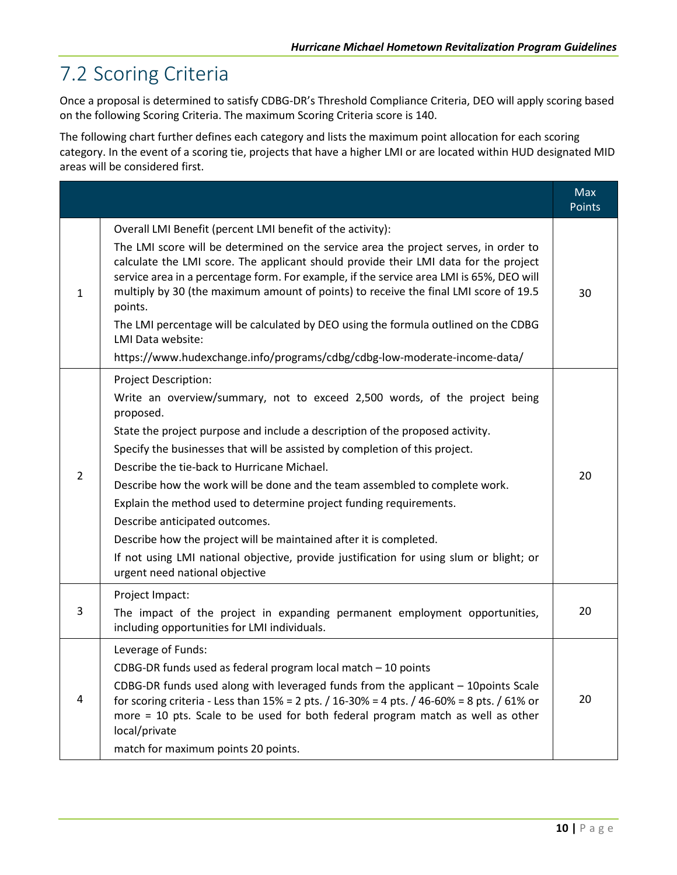#### <span id="page-13-0"></span>7.2 Scoring Criteria

Once a proposal is determined to satisfy CDBG-DR's Threshold Compliance Criteria, DEO will apply scoring based on the following Scoring Criteria. The maximum Scoring Criteria score is 140.

The following chart further defines each category and lists the maximum point allocation for each scoring category. In the event of a scoring tie, projects that have a higher LMI or are located within HUD designated MID areas will be considered first.

|   |                                                                                                                                                                                                                                                                                                                                                                                                                                                                                                                                                                                                                                                                                                                          | <b>Max</b><br><b>Points</b> |
|---|--------------------------------------------------------------------------------------------------------------------------------------------------------------------------------------------------------------------------------------------------------------------------------------------------------------------------------------------------------------------------------------------------------------------------------------------------------------------------------------------------------------------------------------------------------------------------------------------------------------------------------------------------------------------------------------------------------------------------|-----------------------------|
| 1 | Overall LMI Benefit (percent LMI benefit of the activity):<br>The LMI score will be determined on the service area the project serves, in order to<br>calculate the LMI score. The applicant should provide their LMI data for the project<br>service area in a percentage form. For example, if the service area LMI is 65%, DEO will<br>multiply by 30 (the maximum amount of points) to receive the final LMI score of 19.5<br>points.<br>The LMI percentage will be calculated by DEO using the formula outlined on the CDBG<br>LMI Data website:<br>https://www.hudexchange.info/programs/cdbg/cdbg-low-moderate-income-data/                                                                                       | 30                          |
| 2 | Project Description:<br>Write an overview/summary, not to exceed 2,500 words, of the project being<br>proposed.<br>State the project purpose and include a description of the proposed activity.<br>Specify the businesses that will be assisted by completion of this project.<br>Describe the tie-back to Hurricane Michael.<br>Describe how the work will be done and the team assembled to complete work.<br>Explain the method used to determine project funding requirements.<br>Describe anticipated outcomes.<br>Describe how the project will be maintained after it is completed.<br>If not using LMI national objective, provide justification for using slum or blight; or<br>urgent need national objective | 20                          |
| 3 | Project Impact:<br>The impact of the project in expanding permanent employment opportunities,<br>including opportunities for LMI individuals.                                                                                                                                                                                                                                                                                                                                                                                                                                                                                                                                                                            | 20                          |
| 4 | Leverage of Funds:<br>CDBG-DR funds used as federal program local match - 10 points<br>CDBG-DR funds used along with leveraged funds from the applicant - 10points Scale<br>for scoring criteria - Less than $15\% = 2$ pts. $/ 16 - 30\% = 4$ pts. $/ 46 - 60\% = 8$ pts. $/ 61\%$ or<br>more = 10 pts. Scale to be used for both federal program match as well as other<br>local/private<br>match for maximum points 20 points.                                                                                                                                                                                                                                                                                        | 20                          |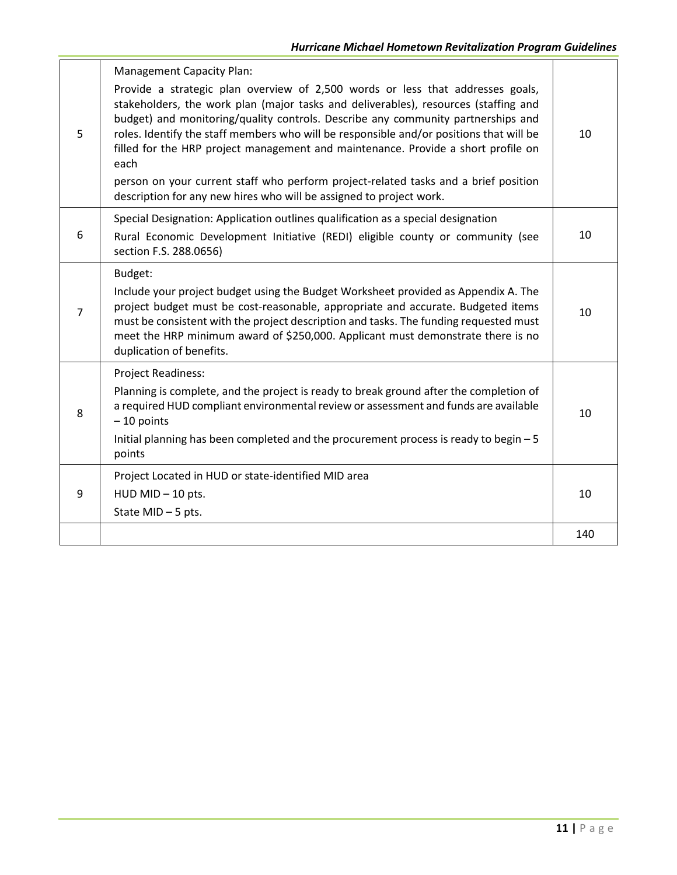|                | <b>Management Capacity Plan:</b>                                                                                                                                                                                                                                                                                                                                                                                                                  |     |
|----------------|---------------------------------------------------------------------------------------------------------------------------------------------------------------------------------------------------------------------------------------------------------------------------------------------------------------------------------------------------------------------------------------------------------------------------------------------------|-----|
| 5              | Provide a strategic plan overview of 2,500 words or less that addresses goals,<br>stakeholders, the work plan (major tasks and deliverables), resources (staffing and<br>budget) and monitoring/quality controls. Describe any community partnerships and<br>roles. Identify the staff members who will be responsible and/or positions that will be<br>filled for the HRP project management and maintenance. Provide a short profile on<br>each | 10  |
|                | person on your current staff who perform project-related tasks and a brief position<br>description for any new hires who will be assigned to project work.                                                                                                                                                                                                                                                                                        |     |
|                | Special Designation: Application outlines qualification as a special designation                                                                                                                                                                                                                                                                                                                                                                  |     |
| 6              | Rural Economic Development Initiative (REDI) eligible county or community (see<br>section F.S. 288.0656)                                                                                                                                                                                                                                                                                                                                          | 10  |
|                | Budget:                                                                                                                                                                                                                                                                                                                                                                                                                                           |     |
| $\overline{7}$ | Include your project budget using the Budget Worksheet provided as Appendix A. The<br>project budget must be cost-reasonable, appropriate and accurate. Budgeted items<br>must be consistent with the project description and tasks. The funding requested must<br>meet the HRP minimum award of \$250,000. Applicant must demonstrate there is no<br>duplication of benefits.                                                                    | 10  |
|                | Project Readiness:                                                                                                                                                                                                                                                                                                                                                                                                                                |     |
| 8              | Planning is complete, and the project is ready to break ground after the completion of<br>a required HUD compliant environmental review or assessment and funds are available<br>$-10$ points                                                                                                                                                                                                                                                     | 10  |
|                | Initial planning has been completed and the procurement process is ready to begin - 5<br>points                                                                                                                                                                                                                                                                                                                                                   |     |
|                | Project Located in HUD or state-identified MID area                                                                                                                                                                                                                                                                                                                                                                                               |     |
| 9              | HUD MID - 10 pts.                                                                                                                                                                                                                                                                                                                                                                                                                                 | 10  |
|                | State MID $-5$ pts.                                                                                                                                                                                                                                                                                                                                                                                                                               |     |
|                |                                                                                                                                                                                                                                                                                                                                                                                                                                                   | 140 |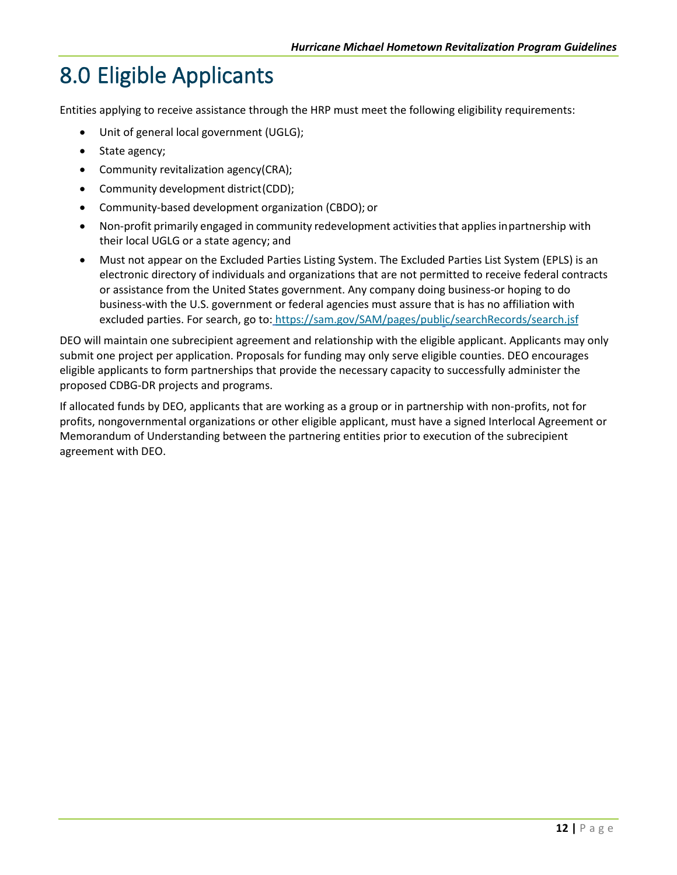# <span id="page-15-0"></span>8.0 Eligible Applicants

Entities applying to receive assistance through the HRP must meet the following eligibility requirements:

- Unit of general local government (UGLG);
- State agency;
- Community revitalization agency(CRA);
- Community development district(CDD);
- Community-based development organization (CBDO); or
- Non-profit primarily engaged in community redevelopment activities that applies inpartnership with their local UGLG or a state agency; and
- Must not appear on the Excluded Parties Listing System. The Excluded Parties List System (EPLS) is an electronic directory of individuals and organizations that are not permitted to receive federal contracts or assistance from the United States government. Any company doing business-or hoping to do business-with the U.S. government or federal agencies must assure that is has no affiliation with excluded parties. For search, go to: <https://sam.gov/SAM/pages/public/searchRecords/search.jsf>

DEO will maintain one subrecipient agreement and relationship with the eligible applicant. Applicants may only submit one project per application. Proposals for funding may only serve eligible counties. DEO encourages eligible applicants to form partnerships that provide the necessary capacity to successfully administer the proposed CDBG-DR projects and programs.

If allocated funds by DEO, applicants that are working as a group or in partnership with non-profits, not for profits, nongovernmental organizations or other eligible applicant, must have a signed Interlocal Agreement or Memorandum of Understanding between the partnering entities prior to execution of the subrecipient agreement with DEO.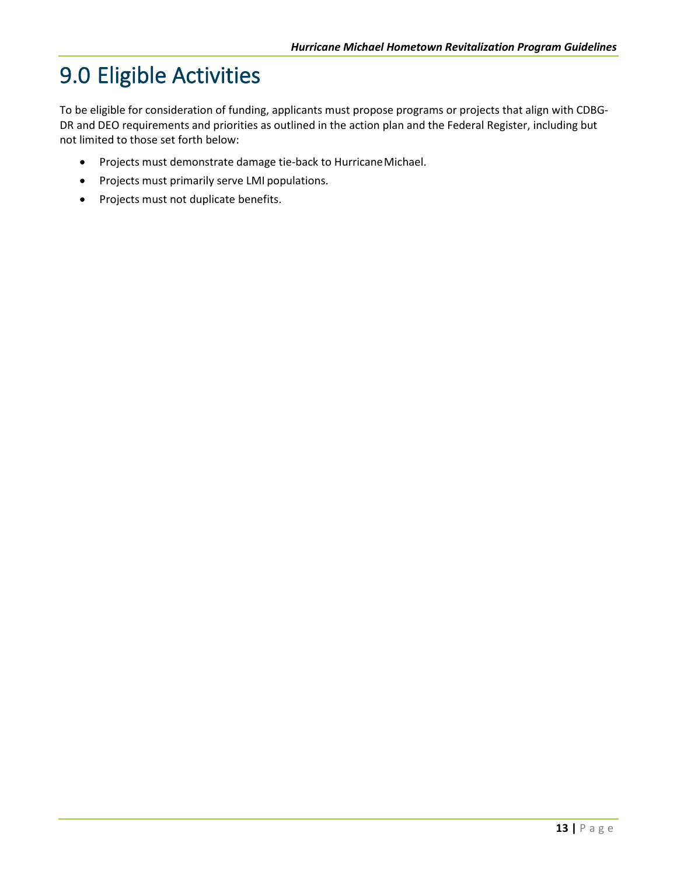# <span id="page-16-0"></span>9.0 Eligible Activities

To be eligible for consideration of funding, applicants must propose programs or projects that align with CDBG-DR and DEO requirements and priorities as outlined in the action plan and the Federal Register, including but not limited to those set forth below:

- Projects must demonstrate damage tie-back to HurricaneMichael.
- Projects must primarily serve LMI populations.
- Projects must not duplicate benefits.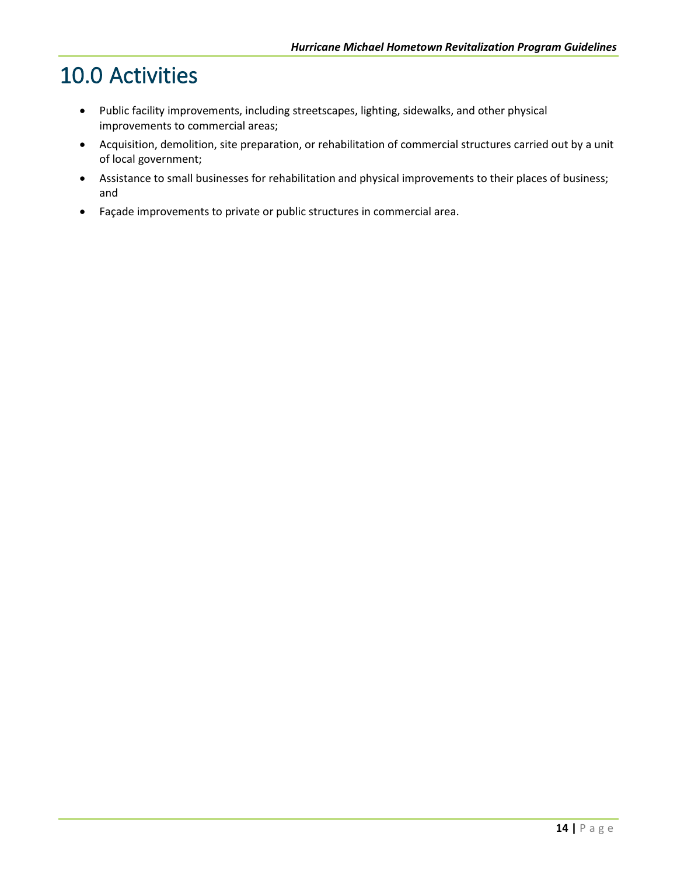### <span id="page-17-0"></span>10.0 Activities

- Public facility improvements, including streetscapes, lighting, sidewalks, and other physical improvements to commercial areas;
- Acquisition, demolition, site preparation, or rehabilitation of commercial structures carried out by a unit of local government;
- Assistance to small businesses for rehabilitation and physical improvements to their places of business; and
- Façade improvements to private or public structures in commercial area.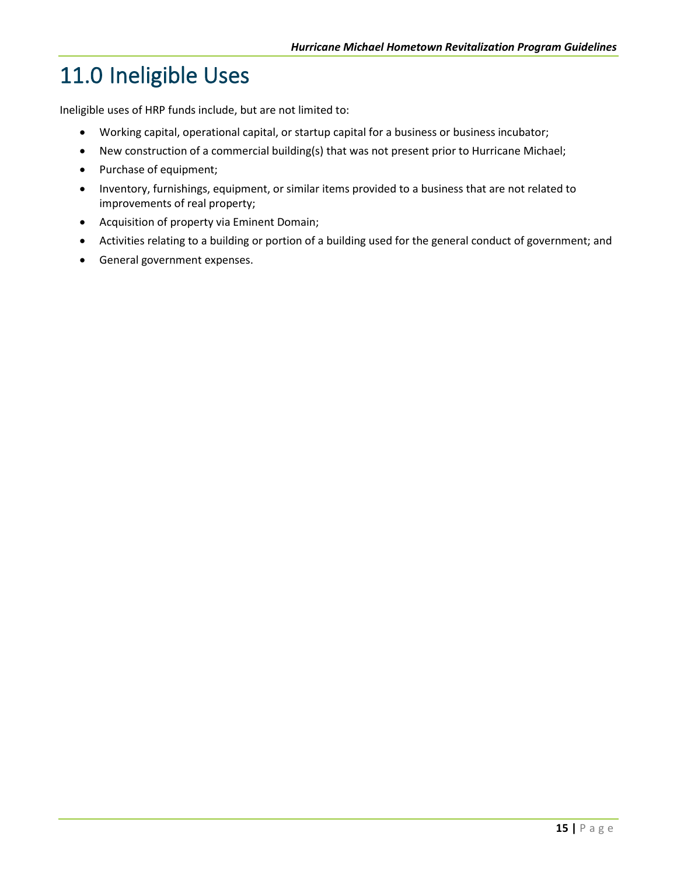# <span id="page-18-0"></span>11.0 Ineligible Uses

Ineligible uses of HRP funds include, but are not limited to:

- Working capital, operational capital, or startup capital for a business or business incubator;
- New construction of a commercial building(s) that was not present prior to Hurricane Michael;
- Purchase of equipment;
- Inventory, furnishings, equipment, or similar items provided to a business that are not related to improvements of real property;
- Acquisition of property via Eminent Domain;
- Activities relating to a building or portion of a building used for the general conduct of government; and
- General government expenses.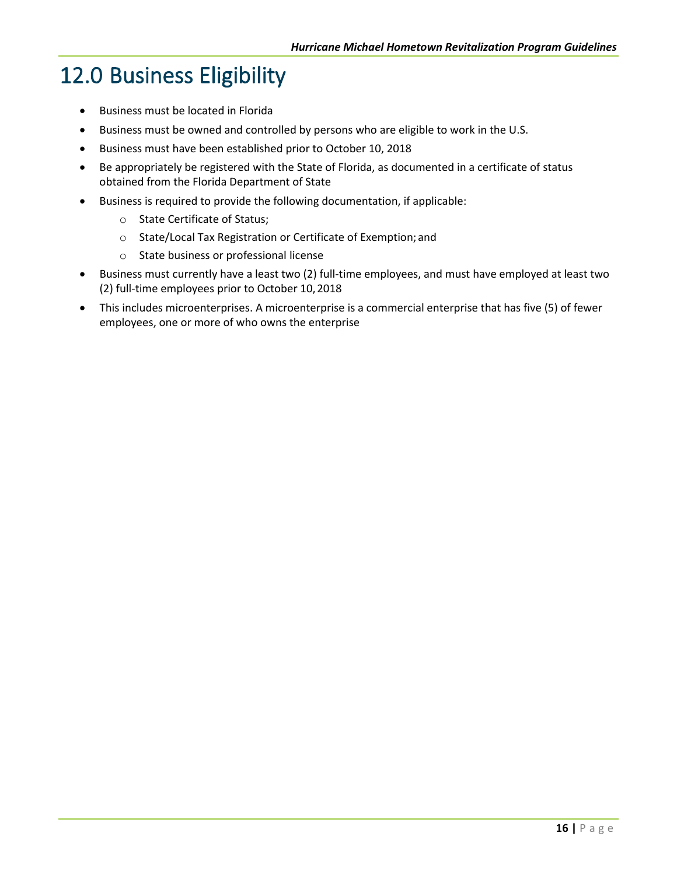## <span id="page-19-0"></span>12.0 Business Eligibility

- Business must be located in Florida
- Business must be owned and controlled by persons who are eligible to work in the U.S.
- Business must have been established prior to October 10, 2018
- Be appropriately be registered with the State of Florida, as documented in a certificate of status obtained from the Florida Department of State
- Business is required to provide the following documentation, if applicable:
	- o State Certificate of Status;
	- o State/Local Tax Registration or Certificate of Exemption; and
	- o State business or professional license
- Business must currently have a least two (2) full-time employees, and must have employed at least two (2) full-time employees prior to October 10,2018
- This includes microenterprises. A microenterprise is a commercial enterprise that has five (5) of fewer employees, one or more of who owns the enterprise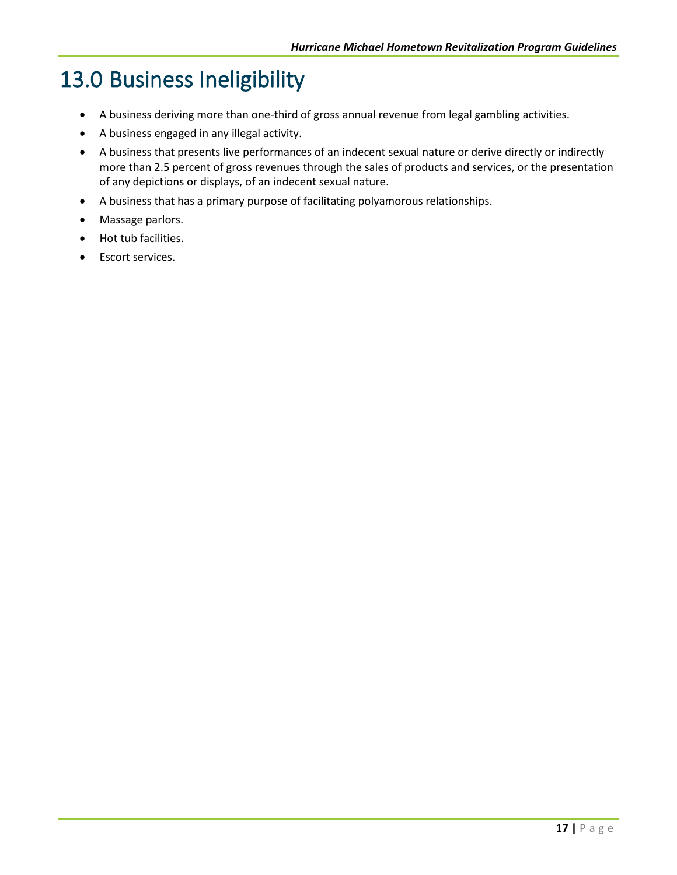## <span id="page-20-0"></span>13.0 Business Ineligibility

- A business deriving more than one-third of gross annual revenue from legal gambling activities.
- A business engaged in any illegal activity.
- A business that presents live performances of an indecent sexual nature or derive directly or indirectly more than 2.5 percent of gross revenues through the sales of products and services, or the presentation of any depictions or displays, of an indecent sexual nature.
- A business that has a primary purpose of facilitating polyamorous relationships.
- Massage parlors.
- Hot tub facilities.
- Escort services.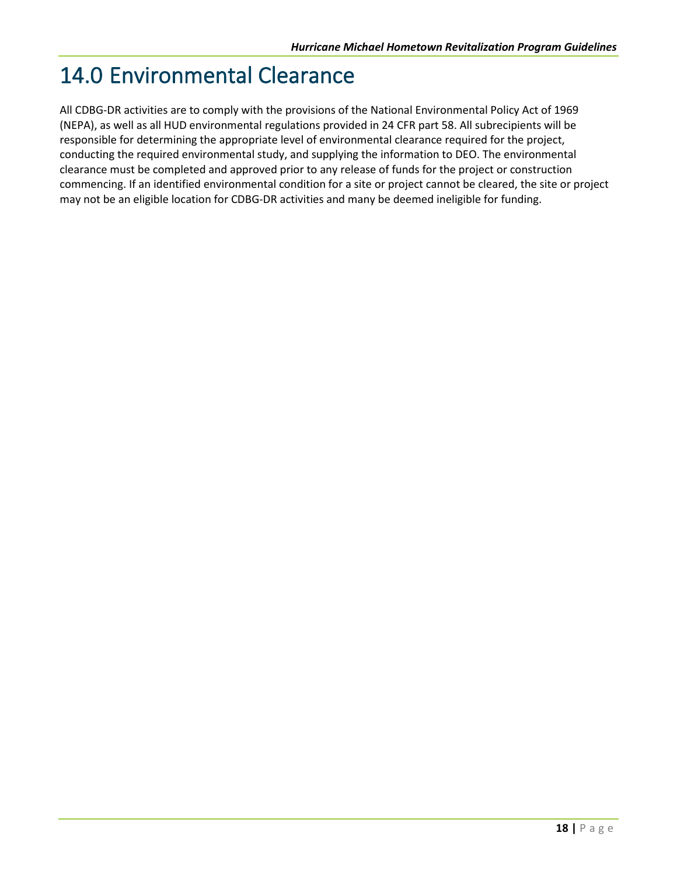### <span id="page-21-0"></span>14.0 Environmental Clearance

All CDBG-DR activities are to comply with the provisions of the National Environmental Policy Act of 1969 (NEPA), as well as all HUD environmental regulations provided in 24 CFR part 58. All subrecipients will be responsible for determining the appropriate level of environmental clearance required for the project, conducting the required environmental study, and supplying the information to DEO. The environmental clearance must be completed and approved prior to any release of funds for the project or construction commencing. If an identified environmental condition for a site or project cannot be cleared, the site or project may not be an eligible location for CDBG-DR activities and many be deemed ineligible for funding.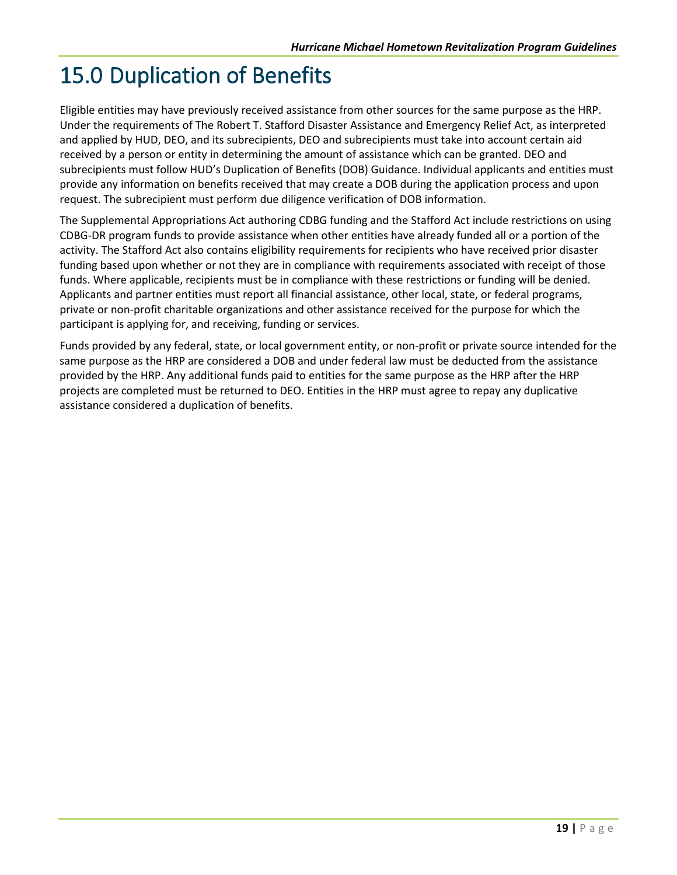## <span id="page-22-0"></span>15.0 Duplication of Benefits

Eligible entities may have previously received assistance from other sources for the same purpose as the HRP. Under the requirements of The Robert T. Stafford Disaster Assistance and Emergency Relief Act, as interpreted and applied by HUD, DEO, and its subrecipients, DEO and subrecipients must take into account certain aid received by a person or entity in determining the amount of assistance which can be granted. DEO and subrecipients must follow HUD's Duplication of Benefits (DOB) Guidance. Individual applicants and entities must provide any information on benefits received that may create a DOB during the application process and upon request. The subrecipient must perform due diligence verification of DOB information.

The Supplemental Appropriations Act authoring CDBG funding and the Stafford Act include restrictions on using CDBG-DR program funds to provide assistance when other entities have already funded all or a portion of the activity. The Stafford Act also contains eligibility requirements for recipients who have received prior disaster funding based upon whether or not they are in compliance with requirements associated with receipt of those funds. Where applicable, recipients must be in compliance with these restrictions or funding will be denied. Applicants and partner entities must report all financial assistance, other local, state, or federal programs, private or non-profit charitable organizations and other assistance received for the purpose for which the participant is applying for, and receiving, funding or services.

Funds provided by any federal, state, or local government entity, or non-profit or private source intended for the same purpose as the HRP are considered a DOB and under federal law must be deducted from the assistance provided by the HRP. Any additional funds paid to entities for the same purpose as the HRP after the HRP projects are completed must be returned to DEO. Entities in the HRP must agree to repay any duplicative assistance considered a duplication of benefits.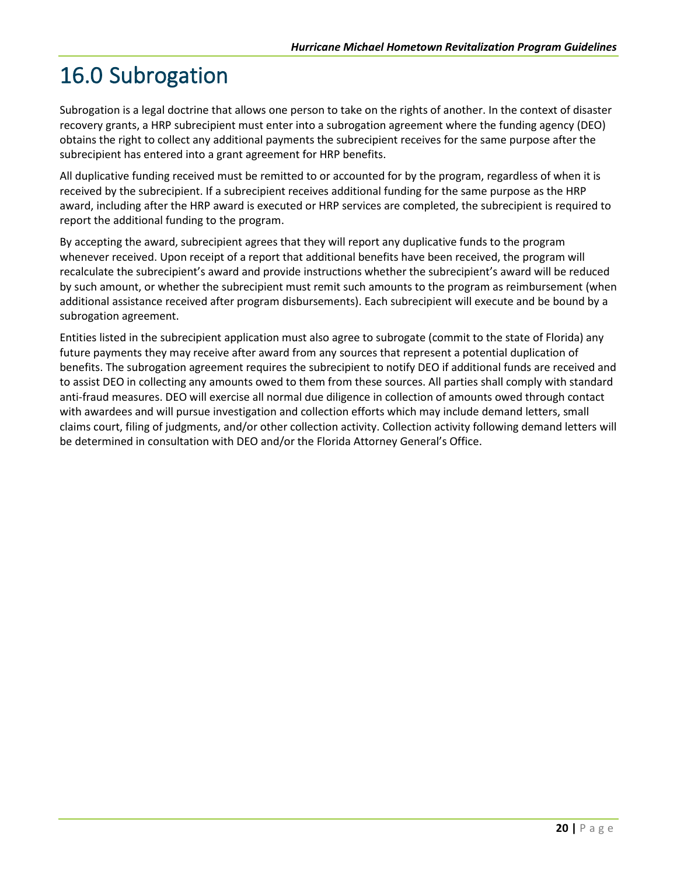# <span id="page-23-0"></span>16.0 Subrogation

Subrogation is a legal doctrine that allows one person to take on the rights of another. In the context of disaster recovery grants, a HRP subrecipient must enter into a subrogation agreement where the funding agency (DEO) obtains the right to collect any additional payments the subrecipient receives for the same purpose after the subrecipient has entered into a grant agreement for HRP benefits.

All duplicative funding received must be remitted to or accounted for by the program, regardless of when it is received by the subrecipient. If a subrecipient receives additional funding for the same purpose as the HRP award, including after the HRP award is executed or HRP services are completed, the subrecipient is required to report the additional funding to the program.

By accepting the award, subrecipient agrees that they will report any duplicative funds to the program whenever received. Upon receipt of a report that additional benefits have been received, the program will recalculate the subrecipient's award and provide instructions whether the subrecipient's award will be reduced by such amount, or whether the subrecipient must remit such amounts to the program as reimbursement (when additional assistance received after program disbursements). Each subrecipient will execute and be bound by a subrogation agreement.

Entities listed in the subrecipient application must also agree to subrogate (commit to the state of Florida) any future payments they may receive after award from any sources that represent a potential duplication of benefits. The subrogation agreement requires the subrecipient to notify DEO if additional funds are received and to assist DEO in collecting any amounts owed to them from these sources. All parties shall comply with standard anti-fraud measures. DEO will exercise all normal due diligence in collection of amounts owed through contact with awardees and will pursue investigation and collection efforts which may include demand letters, small claims court, filing of judgments, and/or other collection activity. Collection activity following demand letters will be determined in consultation with DEO and/or the Florida Attorney General's Office.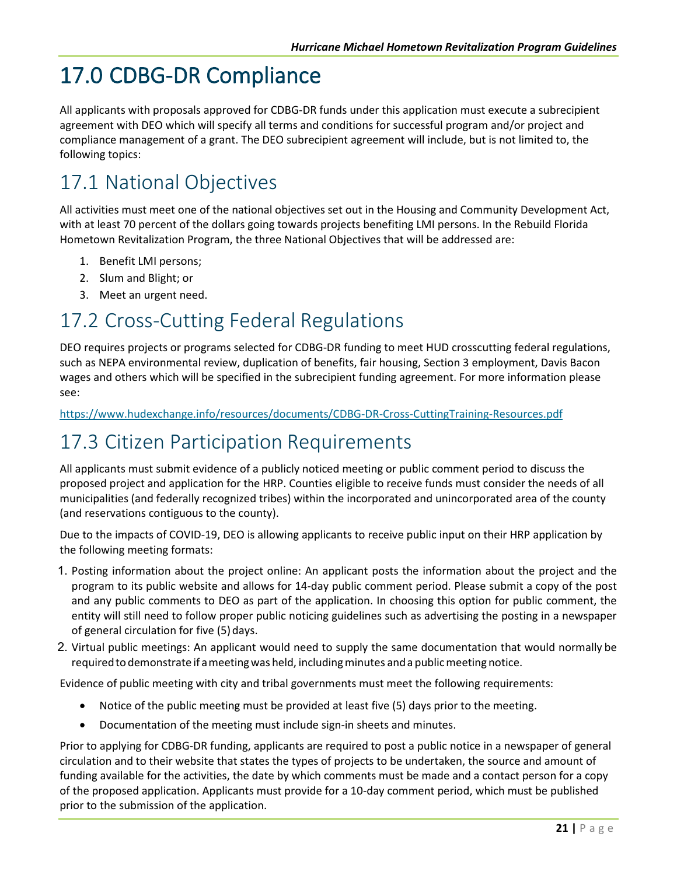# <span id="page-24-0"></span>17.0 CDBG-DR Compliance

All applicants with proposals approved for CDBG-DR funds under this application must execute a subrecipient agreement with DEO which will specify all terms and conditions for successful program and/or project and compliance management of a grant. The DEO subrecipient agreement will include, but is not limited to, the following topics:

### <span id="page-24-1"></span>17.1 National Objectives

All activities must meet one of the national objectives set out in the Housing and Community Development Act, with at least 70 percent of the dollars going towards projects benefiting LMI persons. In the Rebuild Florida Hometown Revitalization Program, the three National Objectives that will be addressed are:

- 1. Benefit LMI persons;
- 2. Slum and Blight; or
- 3. Meet an urgent need.

#### <span id="page-24-2"></span>17.2 Cross-Cutting Federal Regulations

DEO requires projects or programs selected for CDBG-DR funding to meet HUD crosscutting federal regulations, such as NEPA environmental review, duplication of benefits, fair housing, Section 3 employment, Davis Bacon wages and others which will be specified in the subrecipient funding agreement. For more information please see:

<https://www.hudexchange.info/resources/documents/CDBG-DR-Cross-CuttingTraining-Resources.pdf>

#### <span id="page-24-3"></span>17.3 Citizen Participation Requirements

All applicants must submit evidence of a publicly noticed meeting or public comment period to discuss the proposed project and application for the HRP. Counties eligible to receive funds must consider the needs of all municipalities (and federally recognized tribes) within the incorporated and unincorporated area of the county (and reservations contiguous to the county).

Due to the impacts of COVID-19, DEO is allowing applicants to receive public input on their HRP application by the following meeting formats:

- 1. Posting information about the project online: An applicant posts the information about the project and the program to its public website and allows for 14-day public comment period. Please submit a copy of the post and any public comments to DEO as part of the application. In choosing this option for public comment, the entity will still need to follow proper public noticing guidelines such as advertising the posting in a newspaper of general circulation for five (5) days.
- 2. Virtual public meetings: An applicant would need to supply the same documentation that would normally be required to demonstrate if a meeting was held, including minutes and a public meeting notice.

Evidence of public meeting with city and tribal governments must meet the following requirements:

- Notice of the public meeting must be provided at least five (5) days prior to the meeting.
- Documentation of the meeting must include sign-in sheets and minutes.

Prior to applying for CDBG-DR funding, applicants are required to post a public notice in a newspaper of general circulation and to their website that states the types of projects to be undertaken, the source and amount of funding available for the activities, the date by which comments must be made and a contact person for a copy of the proposed application. Applicants must provide for a 10-day comment period, which must be published prior to the submission of the application.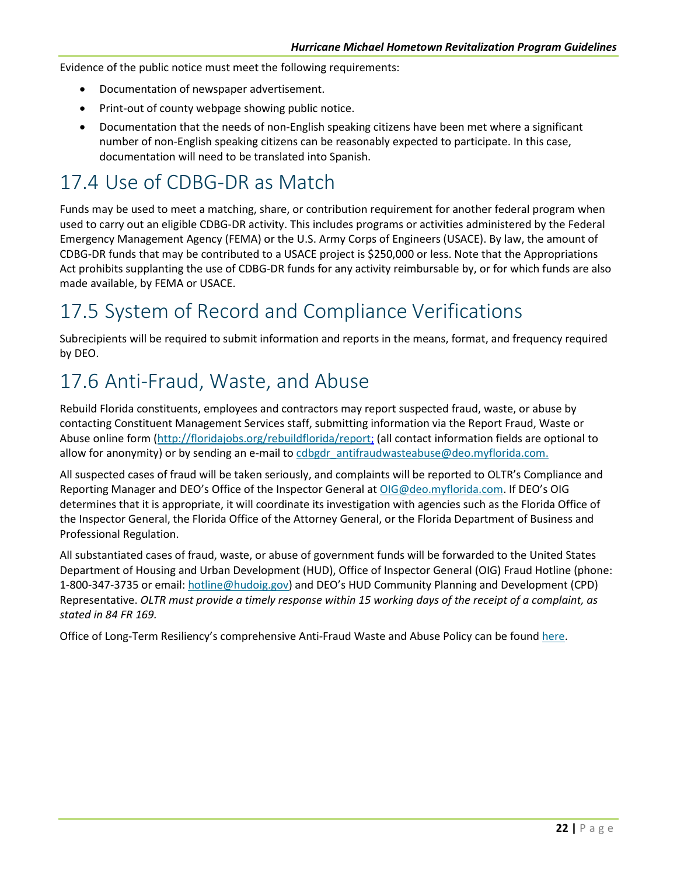Evidence of the public notice must meet the following requirements:

- Documentation of newspaper advertisement.
- Print-out of county webpage showing public notice.
- Documentation that the needs of non-English speaking citizens have been met where a significant number of non-English speaking citizens can be reasonably expected to participate. In this case, documentation will need to be translated into Spanish.

#### <span id="page-25-0"></span>17.4 Use of CDBG-DR as Match

Funds may be used to meet a matching, share, or contribution requirement for another federal program when used to carry out an eligible CDBG-DR activity. This includes programs or activities administered by the Federal Emergency Management Agency (FEMA) or the U.S. Army Corps of Engineers (USACE). By law, the amount of CDBG-DR funds that may be contributed to a USACE project is \$250,000 or less. Note that the Appropriations Act prohibits supplanting the use of CDBG-DR funds for any activity reimbursable by, or for which funds are also made available, by FEMA or USACE.

#### <span id="page-25-1"></span>17.5 System of Record and Compliance Verifications

Subrecipients will be required to submit information and reports in the means, format, and frequency required by DEO.

#### <span id="page-25-2"></span>17.6 Anti-Fraud, Waste, and Abuse

Rebuild Florida constituents, employees and contractors may report suspected fraud, waste, or abuse by contacting Constituent Management Services staff, submitting information via the Report Fraud, Waste or Abuse online form [\(http://floridajobs.org/rebuildflorida/report;](http://floridajobs.org/rebuildflorida/report) (all contact information fields are optional to allow for anonymity) or by sending an e-mail to [cdbgdr\\_antifraudwasteabuse@deo.myflorida.c](mailto:cdbg-dr_antifraudwasteabuse@deo.myflorida.com)om.

All suspected cases of fraud will be taken seriously, and complaints will be reported to OLTR's Compliance and Reporting Manager and DEO's Office of the Inspector General a[t OIG@deo.myflorida.com. I](mailto:OIG@deo.myflorida.com)f DEO's OIG determines that it is appropriate, it will coordinate its investigation with agencies such as the Florida Office of the Inspector General, the Florida Office of the Attorney General, or the Florida Department of Business and Professional Regulation.

All substantiated cases of fraud, waste, or abuse of government funds will be forwarded to the United States Department of Housing and Urban Development (HUD), Office of Inspector General (OIG) Fraud Hotline (phone: 1-800-347-3735 or email: [hotline@hudoig.gov\) a](mailto:hotline@hudoig.gov)nd DEO's HUD Community Planning and Development (CPD) Representative. *OLTR must provide a timely response within 15 working days of the receipt of a complaint, as stated in 84 FR 169.*

Office of Long-Term Resiliency's comprehensive Anti-Fraud Waste and Abuse Policy can be found [here.](http://www.floridajobs.org/docs/default-source/office-of-disaster-recovery/office-of-disaster-recovery-main-page/afwa-policy_updated-3-30-21.pdf?sfvrsn=20e441b0_8)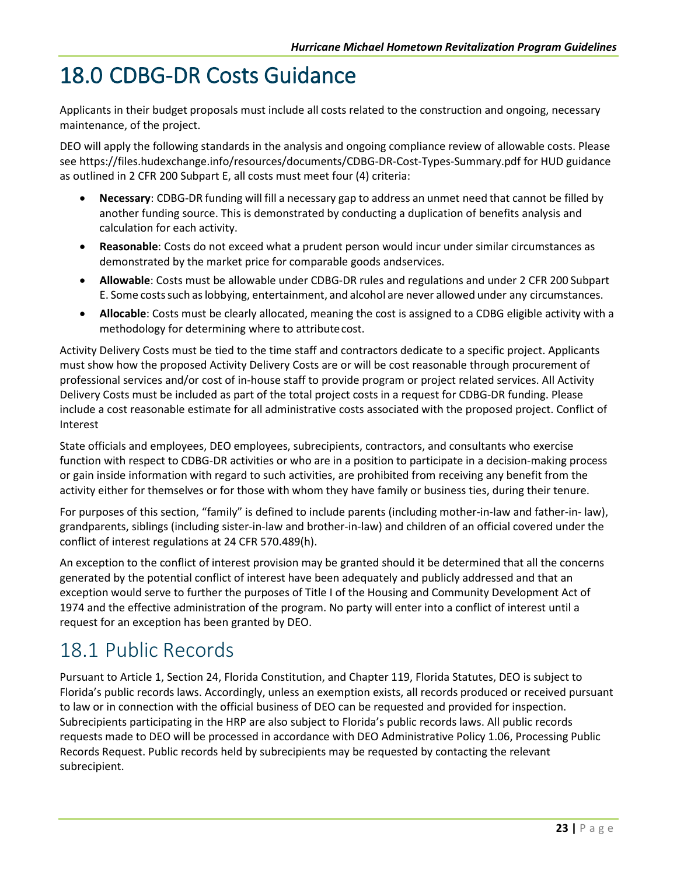## <span id="page-26-0"></span>18.0 CDBG-DR Costs Guidance

Applicants in their budget proposals must include all costs related to the construction and ongoing, necessary maintenance, of the project.

DEO will apply the following standards in the analysis and ongoing compliance review of allowable costs. Please se[e https://files.hudexchange.info/resources/documents/CDBG-DR-Cost-Types-Summary.pdf](https://files.hudexchange.info/resources/documents/CDBG-DR-Cost-Types-Summary.pdf) for HUD guidance as outlined in 2 CFR 200 Subpart E, all costs must meet four (4) criteria:

- **Necessary**: CDBG-DR funding will fill a necessary gap to address an unmet need that cannot be filled by another funding source. This is demonstrated by conducting a duplication of benefits analysis and calculation for each activity.
- **Reasonable**: Costs do not exceed what a prudent person would incur under similar circumstances as demonstrated by the market price for comparable goods andservices.
- **Allowable**: Costs must be allowable under CDBG-DR rules and regulations and under 2 CFR 200 Subpart E. Some costssuch aslobbying, entertainment, and alcohol are never allowed under any circumstances.
- <span id="page-26-1"></span>• **Allocable**: Costs must be clearly allocated, meaning the cost is assigned to a CDBG eligible activity with a methodology for determining where to attributecost.

Activity Delivery Costs must be tied to the time staff and contractors dedicate to a specific project. Applicants must show how the proposed Activity Delivery Costs are or will be cost reasonable through procurement of professional services and/or cost of in-house staff to provide program or project related services. All Activity Delivery Costs must be included as part of the total project costs in a request for CDBG-DR funding. Please include a cost reasonable estimate for all administrative costs associated with the proposed project. Conflict of Interest

State officials and employees, DEO employees, subrecipients, contractors, and consultants who exercise function with respect to CDBG-DR activities or who are in a position to participate in a decision-making process or gain inside information with regard to such activities, are prohibited from receiving any benefit from the activity either for themselves or for those with whom they have family or business ties, during their tenure.

For purposes of this section, "family" is defined to include parents (including mother-in-law and father-in- law), grandparents, siblings (including sister-in-law and brother-in-law) and children of an official covered under the conflict of interest regulations at 24 CFR 570.489(h).

An exception to the conflict of interest provision may be granted should it be determined that all the concerns generated by the potential conflict of interest have been adequately and publicly addressed and that an exception would serve to further the purposes of Title I of the Housing and Community Development Act of 1974 and the effective administration of the program. No party will enter into a conflict of interest until a request for an exception has been granted by DEO.

#### <span id="page-26-2"></span>18.1 Public Records

Pursuant to Article 1, Section 24, Florida Constitution, and Chapter 119, Florida Statutes, DEO is subject to Florida's public records laws. Accordingly, unless an exemption exists, all records produced or received pursuant to law or in connection with the official business of DEO can be requested and provided for inspection. Subrecipients participating in the HRP are also subject to Florida's public records laws. All public records requests made to DEO will be processed in accordance with DEO Administrative Policy 1.06, Processing Public Records Request. Public records held by subrecipients may be requested by contacting the relevant subrecipient.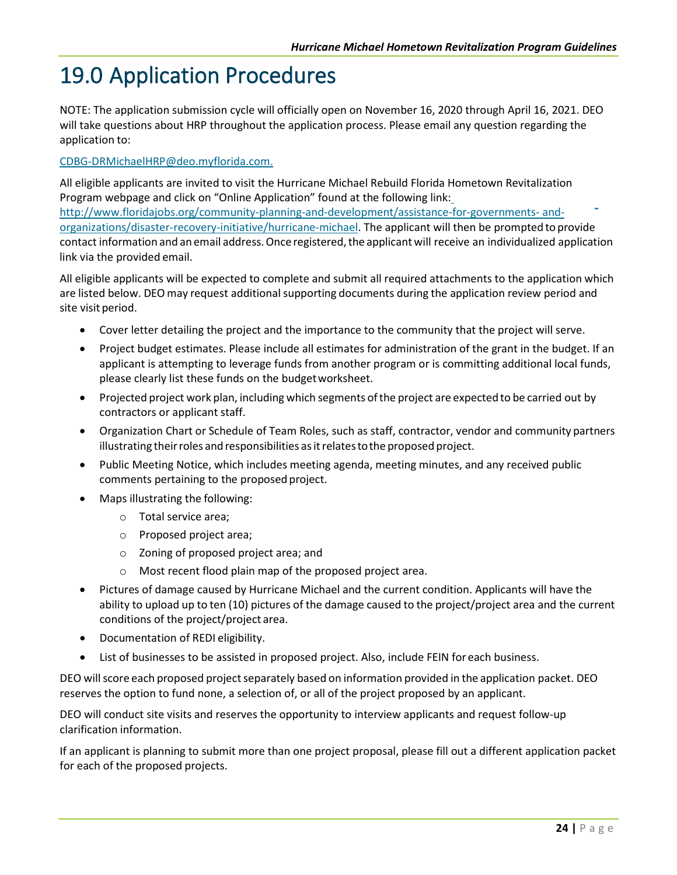### <span id="page-27-0"></span>19.0 Application Procedures

NOTE: The application submission cycle will officially open on November 16, 2020 through April 16, 2021. DEO will take questions about HRP throughout the application process. Please email any question regarding the application to:

#### [CDBG-DRMichaelHRP@deo.myflorida.com.](mailto:CDBG-DRMichaelHRP@deo.myflorida.com)

All eligible applicants are invited to visit the Hurricane Michael Rebuild Florida Hometown Revitalization Program webpage and click on "Online Application" found at the following link[:](http://www.floridajobs.org/community-planning-and-development/assistance-for-governments-and-organizations/disaster-recovery-initiative/hurricane-michael) [http://www.floridajobs.org/community-planning-and-development/assistance-for-governments-](http://www.floridajobs.org/community-planning-and-development/assistance-for-governments-and-organizations/disaster-recovery-initiative/hurricane-michael) [and](http://www.floridajobs.org/community-planning-and-development/assistance-for-governments-and-organizations/disaster-recovery-initiative/hurricane-michael)[organizations/disaster-recovery-initiative/hurricane-michael.](http://www.floridajobs.org/community-planning-and-development/assistance-for-governments-and-organizations/disaster-recovery-initiative/hurricane-michael) The applicant will then be prompted to provide contact information and an email address. Once registered, the applicant will receive an individualized application link via the provided email.

All eligible applicants will be expected to complete and submit all required attachments to the application which are listed below. DEO may request additional supporting documents during the application review period and site visit period.

- Cover letter detailing the project and the importance to the community that the project will serve.
- Project budget estimates. Please include all estimates for administration of the grant in the budget. If an applicant is attempting to leverage funds from another program or is committing additional local funds, please clearly list these funds on the budgetworksheet.
- Projected project work plan, including which segments ofthe project are expectedto be carried out by contractors or applicant staff.
- Organization Chart or Schedule of Team Roles, such as staff, contractor, vendor and community partners illustrating theirroles andresponsibilities asitrelatestothe proposed project.
- Public Meeting Notice, which includes meeting agenda, meeting minutes, and any received public comments pertaining to the proposed project.
- Maps illustrating the following:
	- o Total service area;
	- o Proposed project area;
	- o Zoning of proposed project area; and
	- o Most recent flood plain map of the proposed project area.
- Pictures of damage caused by Hurricane Michael and the current condition. Applicants will have the ability to upload up to ten (10) pictures of the damage caused to the project/project area and the current conditions of the project/project area.
- Documentation of REDI eligibility.
- List of businesses to be assisted in proposed project. Also, include FEIN for each business.

DEO will score each proposed project separately based on information provided in the application packet. DEO reserves the option to fund none, a selection of, or all of the project proposed by an applicant.

DEO will conduct site visits and reserves the opportunity to interview applicants and request follow-up clarification information.

If an applicant is planning to submit more than one project proposal, please fill out a different application packet for each of the proposed projects.